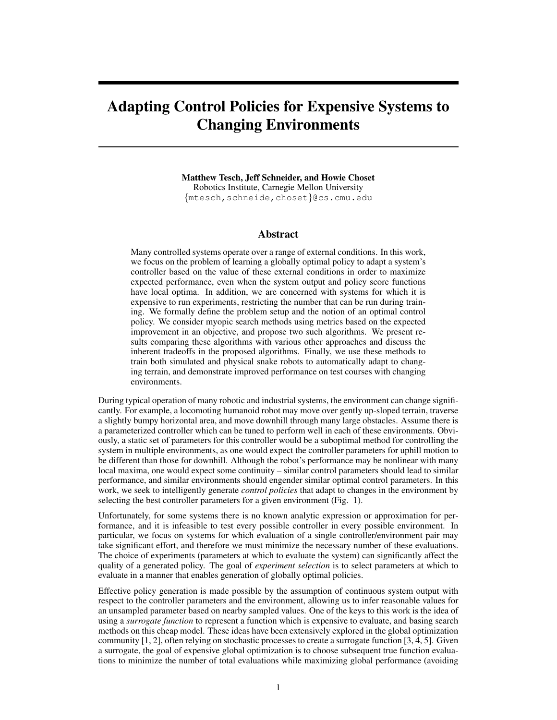# Adapting Control Policies for Expensive Systems to Changing Environments

Matthew Tesch, Jeff Schneider, and Howie Choset Robotics Institute, Carnegie Mellon University {mtesch,schneide,choset}@cs.cmu.edu

## Abstract

Many controlled systems operate over a range of external conditions. In this work, we focus on the problem of learning a globally optimal policy to adapt a system's controller based on the value of these external conditions in order to maximize expected performance, even when the system output and policy score functions have local optima. In addition, we are concerned with systems for which it is expensive to run experiments, restricting the number that can be run during training. We formally define the problem setup and the notion of an optimal control policy. We consider myopic search methods using metrics based on the expected improvement in an objective, and propose two such algorithms. We present results comparing these algorithms with various other approaches and discuss the inherent tradeoffs in the proposed algorithms. Finally, we use these methods to train both simulated and physical snake robots to automatically adapt to changing terrain, and demonstrate improved performance on test courses with changing environments.

During typical operation of many robotic and industrial systems, the environment can change significantly. For example, a locomoting humanoid robot may move over gently up-sloped terrain, traverse a slightly bumpy horizontal area, and move downhill through many large obstacles. Assume there is a parameterized controller which can be tuned to perform well in each of these environments. Obviously, a static set of parameters for this controller would be a suboptimal method for controlling the system in multiple environments, as one would expect the controller parameters for uphill motion to be different than those for downhill. Although the robot's performance may be nonlinear with many local maxima, one would expect some continuity – similar control parameters should lead to similar performance, and similar environments should engender similar optimal control parameters. In this work, we seek to intelligently generate *control policies* that adapt to changes in the environment by selecting the best controller parameters for a given environment (Fig. 1).

Unfortunately, for some systems there is no known analytic expression or approximation for performance, and it is infeasible to test every possible controller in every possible environment. In particular, we focus on systems for which evaluation of a single controller/environment pair may take significant effort, and therefore we must minimize the necessary number of these evaluations. The choice of experiments (parameters at which to evaluate the system) can significantly affect the quality of a generated policy. The goal of *experiment selection* is to select parameters at which to evaluate in a manner that enables generation of globally optimal policies.

Effective policy generation is made possible by the assumption of continuous system output with respect to the controller parameters and the environment, allowing us to infer reasonable values for an unsampled parameter based on nearby sampled values. One of the keys to this work is the idea of using a *surrogate function* to represent a function which is expensive to evaluate, and basing search methods on this cheap model. These ideas have been extensively explored in the global optimization community [1, 2], often relying on stochastic processes to create a surrogate function [3, 4, 5]. Given a surrogate, the goal of expensive global optimization is to choose subsequent true function evaluations to minimize the number of total evaluations while maximizing global performance (avoiding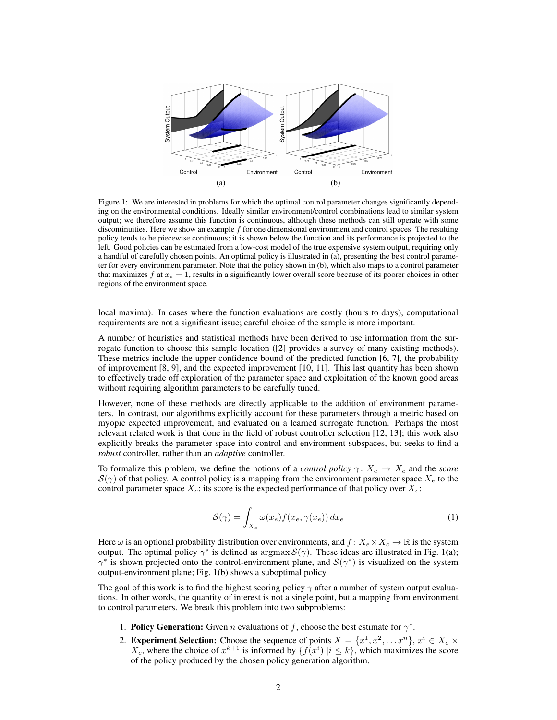

Figure 1: We are interested in problems for which the optimal control parameter changes significantly depending on the environmental conditions. Ideally similar environment/control combinations lead to similar system output; we therefore assume this function is continuous, although these methods can still operate with some discontinuities. Here we show an example  $f$  for one dimensional environment and control spaces. The resulting policy tends to be piecewise continuous; it is shown below the function and its performance is projected to the left. Good policies can be estimated from a low-cost model of the true expensive system output, requiring only a handful of carefully chosen points. An optimal policy is illustrated in (a), presenting the best control parameter for every environment parameter. Note that the policy shown in (b), which also maps to a control parameter that maximizes f at  $x_e = 1$ , results in a significantly lower overall score because of its poorer choices in other regions of the environment space.

local maxima). In cases where the function evaluations are costly (hours to days), computational requirements are not a significant issue; careful choice of the sample is more important.

A number of heuristics and statistical methods have been derived to use information from the surrogate function to choose this sample location ([2] provides a survey of many existing methods). These metrics include the upper confidence bound of the predicted function [6, 7], the probability of improvement [8, 9], and the expected improvement [10, 11]. This last quantity has been shown to effectively trade off exploration of the parameter space and exploitation of the known good areas without requiring algorithm parameters to be carefully tuned.

However, none of these methods are directly applicable to the addition of environment parameters. In contrast, our algorithms explicitly account for these parameters through a metric based on myopic expected improvement, and evaluated on a learned surrogate function. Perhaps the most relevant related work is that done in the field of robust controller selection [12, 13]; this work also explicitly breaks the parameter space into control and environment subspaces, but seeks to find a *robust* controller, rather than an *adaptive* controller.

To formalize this problem, we define the notions of a *control policy*  $\gamma: X_e \to X_c$  and the *score*  $S(\gamma)$  of that policy. A control policy is a mapping from the environment parameter space  $X_e$  to the control parameter space  $X_c$ ; its score is the expected performance of that policy over  $X_c$ :

$$
S(\gamma) = \int_{X_e} \omega(x_e) f(x_e, \gamma(x_e)) dx_e
$$
 (1)

Here  $\omega$  is an optional probability distribution over environments, and  $f: X_e \times X_c \to \mathbb{R}$  is the system output. The optimal policy  $\gamma^*$  is defined as argmax  $\mathcal{S}(\gamma)$ . These ideas are illustrated in Fig. 1(a);  $\gamma^*$  is shown projected onto the control-environment plane, and  $\mathcal{S}(\gamma^*)$  is visualized on the system output-environment plane; Fig. 1(b) shows a suboptimal policy.

The goal of this work is to find the highest scoring policy  $\gamma$  after a number of system output evaluations. In other words, the quantity of interest is not a single point, but a mapping from environment to control parameters. We break this problem into two subproblems:

- 1. Policy Generation: Given n evaluations of f, choose the best estimate for  $\gamma^*$ .
- 2. **Experiment Selection:** Choose the sequence of points  $X = \{x^1, x^2, \dots x^n\}, x^i \in X_e \times \mathbb{R}$  $X_c$ , where the choice of  $x^{k+1}$  is informed by  $\{f(x^i) \mid i \leq k\}$ , which maximizes the score of the policy produced by the chosen policy generation algorithm.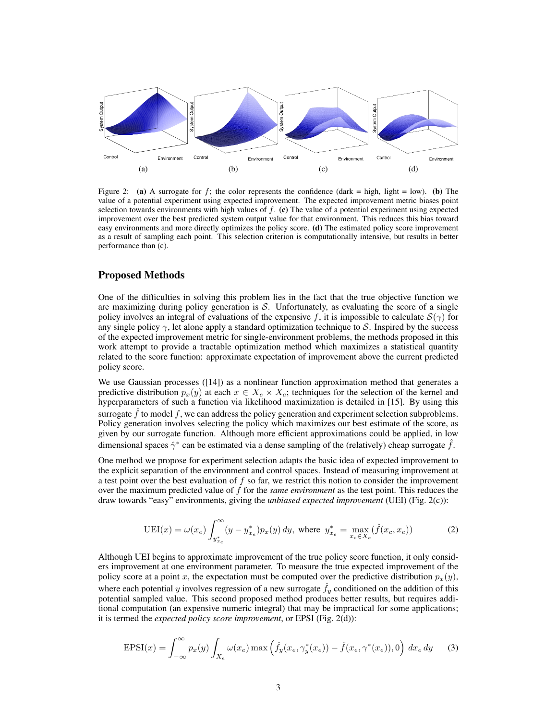

Figure 2: (a) A surrogate for f; the color represents the confidence (dark = high, light = low). (b) The value of a potential experiment using expected improvement. The expected improvement metric biases point selection towards environments with high values of  $f$ . (c) The value of a potential experiment using expected improvement over the best predicted system output value for that environment. This reduces this bias toward easy environments and more directly optimizes the policy score. (d) The estimated policy score improvement as a result of sampling each point. This selection criterion is computationally intensive, but results in better performance than (c).

#### Proposed Methods

One of the difficulties in solving this problem lies in the fact that the true objective function we are maximizing during policy generation is  $S$ . Unfortunately, as evaluating the score of a single policy involves an integral of evaluations of the expensive f, it is impossible to calculate  $S(\gamma)$  for any single policy  $\gamma$ , let alone apply a standard optimization technique to S. Inspired by the success of the expected improvement metric for single-environment problems, the methods proposed in this work attempt to provide a tractable optimization method which maximizes a statistical quantity related to the score function: approximate expectation of improvement above the current predicted policy score.

We use Gaussian processes ([14]) as a nonlinear function approximation method that generates a predictive distribution  $p_x(y)$  at each  $x \in X_e \times X_c$ ; techniques for the selection of the kernel and hyperparameters of such a function via likelihood maximization is detailed in [15]. By using this surrogate  $f$  to model  $f$ , we can address the policy generation and experiment selection subproblems. Policy generation involves selecting the policy which maximizes our best estimate of the score, as given by our surrogate function. Although more efficient approximations could be applied, in low dimensional spaces  $\hat{\gamma}^*$  can be estimated via a dense sampling of the (relatively) cheap surrogate  $\hat{f}$ .

One method we propose for experiment selection adapts the basic idea of expected improvement to the explicit separation of the environment and control spaces. Instead of measuring improvement at a test point over the best evaluation of  $f$  so far, we restrict this notion to consider the improvement over the maximum predicted value of f for the *same environment* as the test point. This reduces the draw towards "easy" environments, giving the *unbiased expected improvement* (UEI) (Fig. 2(c)):

$$
UEI(x) = \omega(x_e) \int_{y_{x_e}^*}^{\infty} (y - y_{x_e}^*) p_x(y) \, dy, \text{ where } y_{x_e}^* = \max_{x_c \in X_c} (\hat{f}(x_c, x_e))
$$
 (2)

Although UEI begins to approximate improvement of the true policy score function, it only considers improvement at one environment parameter. To measure the true expected improvement of the policy score at a point x, the expectation must be computed over the predictive distribution  $p_x(y)$ , where each potential y involves regression of a new surrogate  $f_y$  conditioned on the addition of this potential sampled value. This second proposed method produces better results, but requires additional computation (an expensive numeric integral) that may be impractical for some applications; it is termed the *expected policy score improvement*, or EPSI (Fig. 2(d)):

$$
EPSI(x) = \int_{-\infty}^{\infty} p_x(y) \int_{X_e} \omega(x_e) \max\left(\hat{f}_y(x_e, \gamma_y^*(x_e)) - \hat{f}(x_e, \gamma^*(x_e)), 0\right) dx_e dy \tag{3}
$$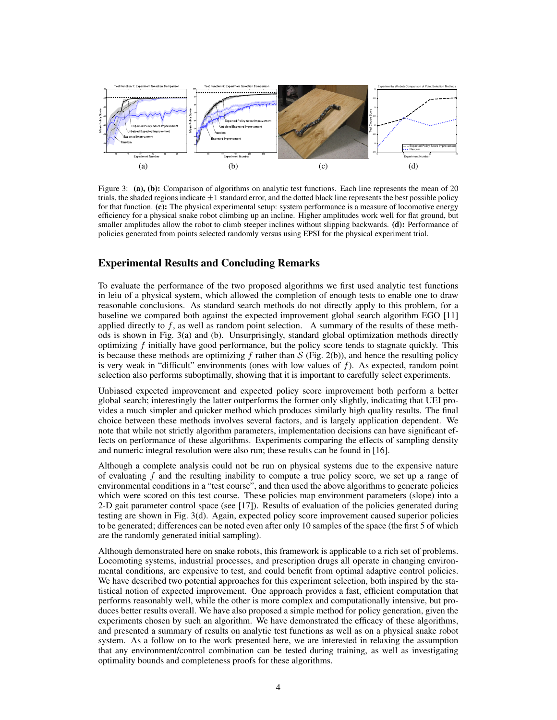

Figure 3: (a), (b): Comparison of algorithms on analytic test functions. Each line represents the mean of 20 trials, the shaded regions indicate  $\pm 1$  standard error, and the dotted black line represents the best possible policy for that function. (c): The physical experimental setup: system performance is a measure of locomotive energy efficiency for a physical snake robot climbing up an incline. Higher amplitudes work well for flat ground, but smaller amplitudes allow the robot to climb steeper inclines without slipping backwards. (d): Performance of policies generated from points selected randomly versus using EPSI for the physical experiment trial.

### Experimental Results and Concluding Remarks

To evaluate the performance of the two proposed algorithms we first used analytic test functions in leiu of a physical system, which allowed the completion of enough tests to enable one to draw reasonable conclusions. As standard search methods do not directly apply to this problem, for a baseline we compared both against the expected improvement global search algorithm EGO [11] applied directly to  $f$ , as well as random point selection. A summary of the results of these methods is shown in Fig. 3(a) and (b). Unsurprisingly, standard global optimization methods directly optimizing f initially have good performance, but the policy score tends to stagnate quickly. This is because these methods are optimizing f rather than  $S$  (Fig. 2(b)), and hence the resulting policy is very weak in "difficult" environments (ones with low values of  $f$ ). As expected, random point selection also performs suboptimally, showing that it is important to carefully select experiments.

Unbiased expected improvement and expected policy score improvement both perform a better global search; interestingly the latter outperforms the former only slightly, indicating that UEI provides a much simpler and quicker method which produces similarly high quality results. The final choice between these methods involves several factors, and is largely application dependent. We note that while not strictly algorithm parameters, implementation decisions can have significant effects on performance of these algorithms. Experiments comparing the effects of sampling density and numeric integral resolution were also run; these results can be found in [16].

Although a complete analysis could not be run on physical systems due to the expensive nature of evaluating f and the resulting inability to compute a true policy score, we set up a range of environmental conditions in a "test course", and then used the above algorithms to generate policies which were scored on this test course. These policies map environment parameters (slope) into a 2-D gait parameter control space (see [17]). Results of evaluation of the policies generated during testing are shown in Fig. 3(d). Again, expected policy score improvement caused superior policies to be generated; differences can be noted even after only 10 samples of the space (the first 5 of which are the randomly generated initial sampling).

Although demonstrated here on snake robots, this framework is applicable to a rich set of problems. Locomoting systems, industrial processes, and prescription drugs all operate in changing environmental conditions, are expensive to test, and could benefit from optimal adaptive control policies. We have described two potential approaches for this experiment selection, both inspired by the statistical notion of expected improvement. One approach provides a fast, efficient computation that performs reasonably well, while the other is more complex and computationally intensive, but produces better results overall. We have also proposed a simple method for policy generation, given the experiments chosen by such an algorithm. We have demonstrated the efficacy of these algorithms, and presented a summary of results on analytic test functions as well as on a physical snake robot system. As a follow on to the work presented here, we are interested in relaxing the assumption that any environment/control combination can be tested during training, as well as investigating optimality bounds and completeness proofs for these algorithms.